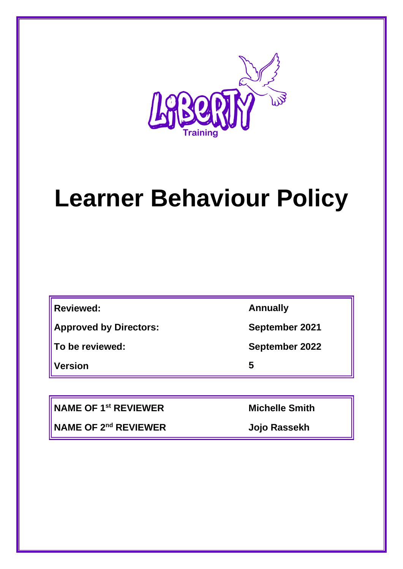

# **Learner Behaviour Policy**

**Reviewed: Annually**

**Approved by Directors: September 2021**

**Version 5**

**To be reviewed: September 2022**

**NAME OF 1st REVIEWER Michelle Smith**

**NAME OF 2nd REVIEWER Jojo Rassekh**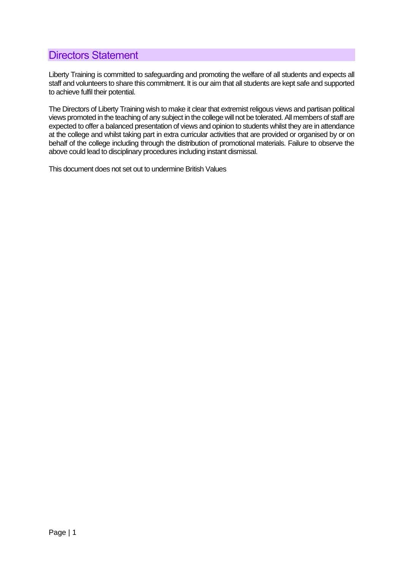## <span id="page-1-0"></span>Directors Statement

Liberty Training is committed to safeguarding and promoting the welfare of all students and expects all staff and volunteers to share this commitment. It is our aim that all students are kept safe and supported to achieve fulfil their potential.

The Directors of Liberty Training wish to make it clear that extremist religous views and partisan political views promoted in the teaching of any subject in the college will not be tolerated. All members of staff are expected to offer a balanced presentation of views and opinion to students whilst they are in attendance at the college and whilst taking part in extra curricular activities that are provided or organised by or on behalf of the college including through the distribution of promotional materials. Failure to observe the above could lead to disciplinary procedures including instant dismissal.

This document does not set out to undermine British Values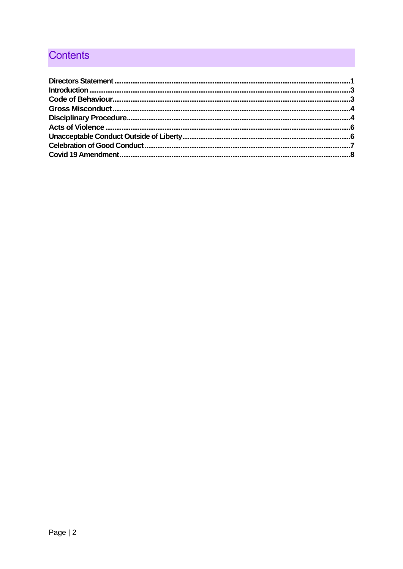## **Contents**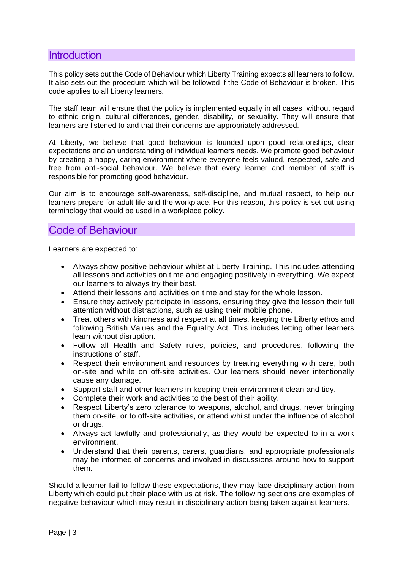### <span id="page-3-0"></span>**Introduction**

This policy sets out the Code of Behaviour which Liberty Training expects all learners to follow. It also sets out the procedure which will be followed if the Code of Behaviour is broken. This code applies to all Liberty learners.

The staff team will ensure that the policy is implemented equally in all cases, without regard to ethnic origin, cultural differences, gender, disability, or sexuality. They will ensure that learners are listened to and that their concerns are appropriately addressed.

At Liberty, we believe that good behaviour is founded upon good relationships, clear expectations and an understanding of individual learners needs. We promote good behaviour by creating a happy, caring environment where everyone feels valued, respected, safe and free from anti-social behaviour. We believe that every learner and member of staff is responsible for promoting good behaviour.

Our aim is to encourage self-awareness, self-discipline, and mutual respect, to help our learners prepare for adult life and the workplace. For this reason, this policy is set out using terminology that would be used in a workplace policy.

## <span id="page-3-1"></span>Code of Behaviour

Learners are expected to:

- Always show positive behaviour whilst at Liberty Training. This includes attending all lessons and activities on time and engaging positively in everything. We expect our learners to always try their best.
- Attend their lessons and activities on time and stay for the whole lesson.
- Ensure they actively participate in lessons, ensuring they give the lesson their full attention without distractions, such as using their mobile phone.
- Treat others with kindness and respect at all times, keeping the Liberty ethos and following British Values and the Equality Act. This includes letting other learners learn without disruption.
- Follow all Health and Safety rules, policies, and procedures, following the instructions of staff.
- Respect their environment and resources by treating everything with care, both on-site and while on off-site activities. Our learners should never intentionally cause any damage.
- Support staff and other learners in keeping their environment clean and tidy.
- Complete their work and activities to the best of their ability.
- Respect Liberty's zero tolerance to weapons, alcohol, and drugs, never bringing them on-site, or to off-site activities, or attend whilst under the influence of alcohol or drugs.
- Always act lawfully and professionally, as they would be expected to in a work environment.
- Understand that their parents, carers, guardians, and appropriate professionals may be informed of concerns and involved in discussions around how to support them.

Should a learner fail to follow these expectations, they may face disciplinary action from Liberty which could put their place with us at risk. The following sections are examples of negative behaviour which may result in disciplinary action being taken against learners.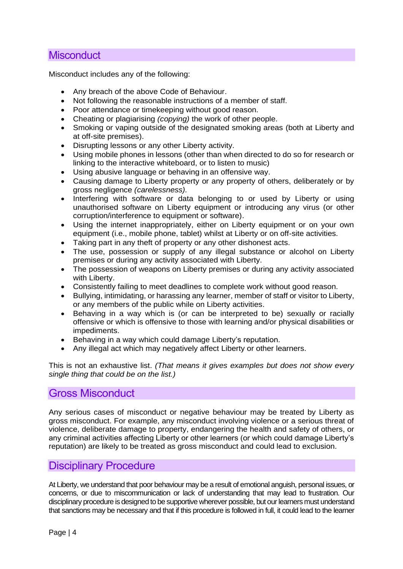## **Misconduct**

Misconduct includes any of the following:

- Any breach of the above Code of Behaviour.
- Not following the reasonable instructions of a member of staff.
- Poor attendance or timekeeping without good reason.
- Cheating or plagiarising *(copying)* the work of other people.
- Smoking or vaping outside of the designated smoking areas (both at Liberty and at off-site premises).
- Disrupting lessons or any other Liberty activity.
- Using mobile phones in lessons (other than when directed to do so for research or linking to the interactive whiteboard, or to listen to music)
- Using abusive language or behaving in an offensive way.
- Causing damage to Liberty property or any property of others, deliberately or by gross negligence *(carelessness).*
- Interfering with software or data belonging to or used by Liberty or using unauthorised software on Liberty equipment or introducing any virus (or other corruption/interference to equipment or software).
- Using the internet inappropriately, either on Liberty equipment or on your own equipment (i.e., mobile phone, tablet) whilst at Liberty or on off-site activities.
- Taking part in any theft of property or any other dishonest acts.
- The use, possession or supply of any illegal substance or alcohol on Liberty premises or during any activity associated with Liberty.
- The possession of weapons on Liberty premises or during any activity associated with Liberty.
- Consistently failing to meet deadlines to complete work without good reason.
- Bullying, intimidating, or harassing any learner, member of staff or visitor to Liberty, or any members of the public while on Liberty activities.
- Behaving in a way which is (or can be interpreted to be) sexually or racially offensive or which is offensive to those with learning and/or physical disabilities or impediments.
- Behaving in a way which could damage Liberty's reputation.
- Any illegal act which may negatively affect Liberty or other learners.

This is not an exhaustive list. *(That means it gives examples but does not show every single thing that could be on the list.)*

#### <span id="page-4-0"></span>Gross Misconduct

Any serious cases of misconduct or negative behaviour may be treated by Liberty as gross misconduct. For example, any misconduct involving violence or a serious threat of violence, deliberate damage to property, endangering the health and safety of others, or any criminal activities affecting Liberty or other learners (or which could damage Liberty's reputation) are likely to be treated as gross misconduct and could lead to exclusion.

## <span id="page-4-1"></span>Disciplinary Procedure

At Liberty, we understand that poor behaviour may be a result of emotional anguish, personal issues, or concerns, or due to miscommunication or lack of understanding that may lead to frustration. Our disciplinary procedure is designed to be supportive wherever possible, but our learners must understand that sanctions may be necessary and that if this procedure is followed in full, it could lead to the learner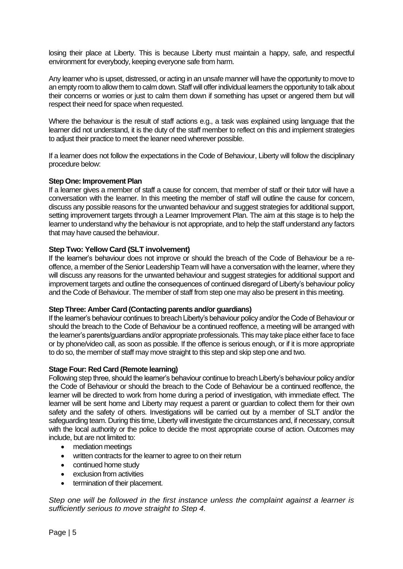losing their place at Liberty. This is because Liberty must maintain a happy, safe, and respectful environment for everybody, keeping everyone safe from harm.

Any learner who is upset, distressed, or acting in an unsafe manner will have the opportunity to move to an empty room to allow them to calm down. Staff will offer individual learners the opportunity to talk about their concerns or worries or just to calm them down if something has upset or angered them but will respect their need for space when requested.

Where the behaviour is the result of staff actions e.g., a task was explained using language that the learner did not understand, it is the duty of the staff member to reflect on this and implement strategies to adjust their practice to meet the leaner need wherever possible.

If a learner does not follow the expectations in the Code of Behaviour, Liberty will follow the disciplinary procedure below:

#### **Step One: Improvement Plan**

If a learner gives a member of staff a cause for concern, that member of staff or their tutor will have a conversation with the learner. In this meeting the member of staff will outline the cause for concern, discuss any possible reasons for the unwanted behaviour and suggest strategies for additional support, setting improvement targets through a Learner Improvement Plan. The aim at this stage is to help the learner to understand why the behaviour is not appropriate, and to help the staff understand any factors that may have caused the behaviour.

#### **Step Two: Yellow Card (SLT involvement)**

If the learner's behaviour does not improve or should the breach of the Code of Behaviour be a reoffence, a member of the Senior Leadership Team will have a conversation with the learner, where they will discuss any reasons for the unwanted behaviour and suggest strategies for additional support and improvement targets and outline the consequences of continued disregard of Liberty's behaviour policy and the Code of Behaviour. The member of staff from step one may also be present in this meeting.

#### **Step Three: Amber Card (Contacting parents and/or guardians)**

If the learner's behaviour continues to breach Liberty's behaviour policy and/or the Code of Behaviour or should the breach to the Code of Behaviour be a continued reoffence, a meeting will be arranged with the learner's parents/guardians and/or appropriate professionals. This may take place either face to face or by phone/video call, as soon as possible. If the offence is serious enough, or if it is more appropriate to do so, the member of staff may move straight to this step and skip step one and two.

#### **Stage Four: Red Card (Remote learning)**

Following step three, should the learner's behaviour continue to breach Liberty's behaviour policy and/or the Code of Behaviour or should the breach to the Code of Behaviour be a continued reoffence, the learner will be directed to work from home during a period of investigation, with immediate effect. The learner will be sent home and Liberty may request a parent or guardian to collect them for their own safety and the safety of others. Investigations will be carried out by a member of SLT and/or the safeguarding team. During this time, Liberty will investigate the circumstances and, if necessary, consult with the local authority or the police to decide the most appropriate course of action. Outcomes may include, but are not limited to:

- mediation meetings
- written contracts for the learner to agree to on their return
- continued home study
- exclusion from activities
- termination of their placement.

*Step one will be followed in the first instance unless the complaint against a learner is sufficiently serious to move straight to Step 4.*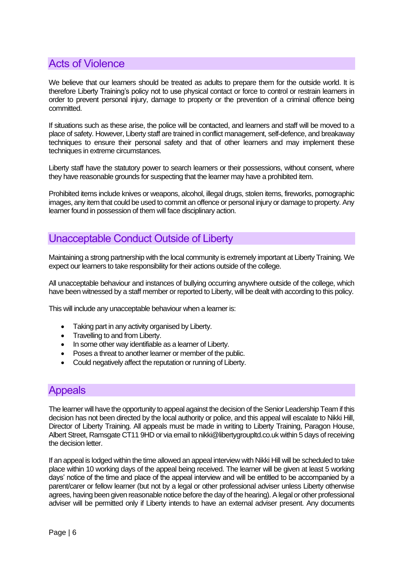## <span id="page-6-0"></span>Acts of Violence

We believe that our learners should be treated as adults to prepare them for the outside world. It is therefore Liberty Training's policy not to use physical contact or force to control or restrain learners in order to prevent personal injury, damage to property or the prevention of a criminal offence being committed.

If situations such as these arise, the police will be contacted, and learners and staff will be moved to a place of safety. However, Liberty staff are trained in conflict management, self-defence, and breakaway techniques to ensure their personal safety and that of other learners and may implement these techniques in extreme circumstances.

Liberty staff have the statutory power to search learners or their possessions, without consent, where they have reasonable grounds for suspecting that the learner may have a prohibited item.

Prohibited items include knives or weapons, alcohol, illegal drugs, stolen items, fireworks, pornographic images, any item that could be used to commit an offence or personal injury or damage to property. Any learner found in possession of them will face disciplinary action.

## <span id="page-6-1"></span>Unacceptable Conduct Outside of Liberty

Maintaining a strong partnership with the local community is extremely important at Liberty Training. We expect our learners to take responsibility for their actions outside of the college.

All unacceptable behaviour and instances of bullying occurring anywhere outside of the college, which have been witnessed by a staff member or reported to Liberty, will be dealt with according to this policy.

This will include any unacceptable behaviour when a learner is:

- Taking part in any activity organised by Liberty.
- Travelling to and from Liberty.
- In some other way identifiable as a learner of Liberty.
- Poses a threat to another learner or member of the public.
- Could negatively affect the reputation or running of Liberty.

## Appeals

The learner will have the opportunity to appeal against the decision of the Senior Leadership Team if this decision has not been directed by the local authority or police, and this appeal will escalate to Nikki Hill, Director of Liberty Training. All appeals must be made in writing to Liberty Training, Paragon House, Albert Street, Ramsgate CT11 9HD or via email to nikki@libertygroupltd.co.uk within 5 days of receiving the decision letter.

If an appeal is lodged within the time allowed an appeal interview with Nikki Hill will be scheduled to take place within 10 working days of the appeal being received. The learner will be given at least 5 working days' notice of the time and place of the appeal interview and will be entitled to be accompanied by a parent/carer or fellow learner (but not by a legal or other professional adviser unless Liberty otherwise agrees, having been given reasonable notice before the day of the hearing). A legal or other professional adviser will be permitted only if Liberty intends to have an external adviser present. Any documents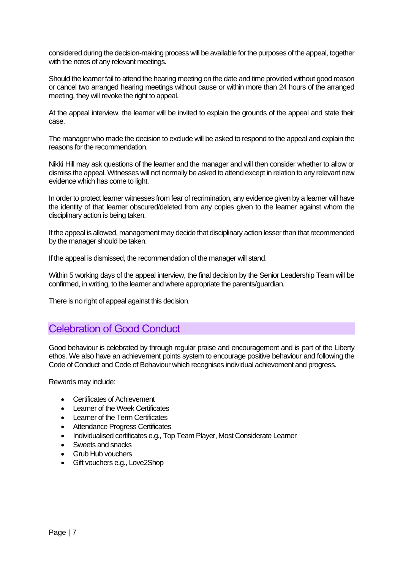considered during the decision-making process will be available for the purposes of the appeal, together with the notes of any relevant meetings.

Should the learner fail to attend the hearing meeting on the date and time provided without good reason or cancel two arranged hearing meetings without cause or within more than 24 hours of the arranged meeting, they will revoke the right to appeal.

At the appeal interview, the learner will be invited to explain the grounds of the appeal and state their case.

The manager who made the decision to exclude will be asked to respond to the appeal and explain the reasons for the recommendation.

Nikki Hill may ask questions of the learner and the manager and will then consider whether to allow or dismiss the appeal. Witnesses will not normally be asked to attend except in relation to any relevant new evidence which has come to light.

In order to protect learner witnesses from fear of recrimination, any evidence given by a learner will have the identity of that learner obscured/deleted from any copies given to the learner against whom the disciplinary action is being taken.

If the appeal is allowed, management may decide that disciplinary action lesser than that recommended by the manager should be taken.

If the appeal is dismissed, the recommendation of the manager will stand.

Within 5 working days of the appeal interview, the final decision by the Senior Leadership Team will be confirmed, in writing, to the learner and where appropriate the parents/guardian.

There is no right of appeal against this decision.

## <span id="page-7-0"></span>Celebration of Good Conduct

Good behaviour is celebrated by through regular praise and encouragement and is part of the Liberty ethos. We also have an achievement points system to encourage positive behaviour and following the Code of Conduct and Code of Behaviour which recognises individual achievement and progress.

Rewards may include:

- Certificates of Achievement
- Learner of the Week Certificates
- Learner of the Term Certificates
- Attendance Progress Certificates
- Individualised certificates e.g., Top Team Player, Most Considerate Learner
- Sweets and snacks
- Grub Hub vouchers
- Gift vouchers e.g., Love2Shop